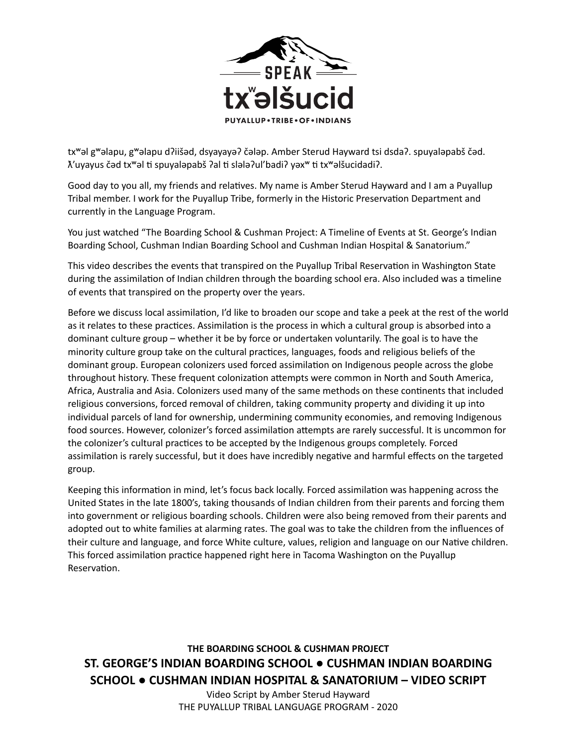

txʷəl gʷəlapu, gʷəlapu dʔiišəd, dsyayayəʔ čələp. Amber Sterud Hayward tsi dsdaʔ. spuyaləpabš čəd.  $\lambda'$ uyayus čəd tx<sup>w</sup>əl ti spuyaləpabš ?al ti slələ?ul'badi? yəx<sup>w</sup> ti txwəlšucidadi?.

Good day to you all, my friends and relatives. My name is Amber Sterud Hayward and I am a Puyallup Tribal member. I work for the Puyallup Tribe, formerly in the Historic Preservation Department and currently in the Language Program.

You just watched "The Boarding School & Cushman Project: A Timeline of Events at St. George's Indian Boarding School, Cushman Indian Boarding School and Cushman Indian Hospital & Sanatorium."

This video describes the events that transpired on the Puyallup Tribal Reservation in Washington State during the assimilation of Indian children through the boarding school era. Also included was a timeline of events that transpired on the property over the years.

Before we discuss local assimilation, I'd like to broaden our scope and take a peek at the rest of the world as it relates to these practices. Assimilation is the process in which a cultural group is absorbed into a dominant culture group – whether it be by force or undertaken voluntarily. The goal is to have the minority culture group take on the cultural practices, languages, foods and religious beliefs of the dominant group. European colonizers used forced assimilation on Indigenous people across the globe throughout history. These frequent colonization attempts were common in North and South America, Africa, Australia and Asia. Colonizers used many of the same methods on these continents that included religious conversions, forced removal of children, taking community property and dividing it up into individual parcels of land for ownership, undermining community economies, and removing Indigenous food sources. However, colonizer's forced assimilation attempts are rarely successful. It is uncommon for the colonizer's cultural practices to be accepted by the Indigenous groups completely. Forced assimilation is rarely successful, but it does have incredibly negative and harmful effects on the targeted group.

Keeping this information in mind, let's focus back locally. Forced assimilation was happening across the United States in the late 1800's, taking thousands of Indian children from their parents and forcing them into government or religious boarding schools. Children were also being removed from their parents and adopted out to white families at alarming rates. The goal was to take the children from the influences of their culture and language, and force White culture, values, religion and language on our Native children. This forced assimilation practice happened right here in Tacoma Washington on the Puyallup Reservation.

**THE BOARDING SCHOOL & CUSHMAN PROJECT ST. GEORGE'S INDIAN BOARDING SCHOOL ● CUSHMAN INDIAN BOARDING SCHOOL ● CUSHMAN INDIAN HOSPITAL & SANATORIUM – VIDEO SCRIPT** 

Video Script by Amber Sterud Hayward THE PUYALLUP TRIBAL LANGUAGE PROGRAM - 2020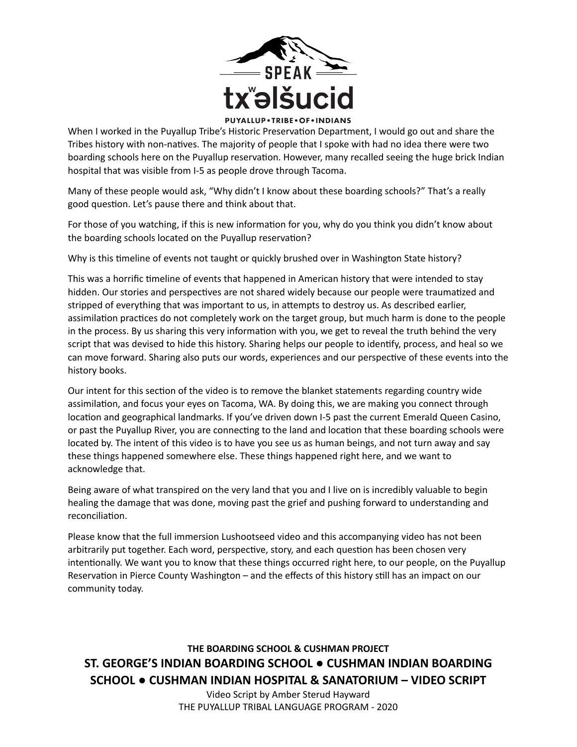

When I worked in the Puyallup Tribe's Historic Preservation Department, I would go out and share the Tribes history with non-natives. The majority of people that I spoke with had no idea there were two boarding schools here on the Puyallup reservation. However, many recalled seeing the huge brick Indian hospital that was visible from I-5 as people drove through Tacoma.

Many of these people would ask, "Why didn't I know about these boarding schools?" That's a really good question. Let's pause there and think about that.

For those of you watching, if this is new information for you, why do you think you didn't know about the boarding schools located on the Puyallup reservation?

Why is this timeline of events not taught or quickly brushed over in Washington State history?

This was a horrific timeline of events that happened in American history that were intended to stay hidden. Our stories and perspectives are not shared widely because our people were traumatized and stripped of everything that was important to us, in attempts to destroy us. As described earlier, assimilation practices do not completely work on the target group, but much harm is done to the people in the process. By us sharing this very information with you, we get to reveal the truth behind the very script that was devised to hide this history. Sharing helps our people to identify, process, and heal so we can move forward. Sharing also puts our words, experiences and our perspective of these events into the history books.

Our intent for this section of the video is to remove the blanket statements regarding country wide assimilation, and focus your eyes on Tacoma, WA. By doing this, we are making you connect through location and geographical landmarks. If you've driven down I-5 past the current Emerald Queen Casino, or past the Puyallup River, you are connecting to the land and location that these boarding schools were located by. The intent of this video is to have you see us as human beings, and not turn away and say these things happened somewhere else. These things happened right here, and we want to acknowledge that.

Being aware of what transpired on the very land that you and I live on is incredibly valuable to begin healing the damage that was done, moving past the grief and pushing forward to understanding and reconciliation.

Please know that the full immersion Lushootseed video and this accompanying video has not been arbitrarily put together. Each word, perspective, story, and each question has been chosen very intentionally. We want you to know that these things occurred right here, to our people, on the Puyallup Reservation in Pierce County Washington – and the effects of this history still has an impact on our community today.

**THE BOARDING SCHOOL & CUSHMAN PROJECT ST. GEORGE'S INDIAN BOARDING SCHOOL ● CUSHMAN INDIAN BOARDING SCHOOL ● CUSHMAN INDIAN HOSPITAL & SANATORIUM – VIDEO SCRIPT** 

> Video Script by Amber Sterud Hayward THE PUYALLUP TRIBAL LANGUAGE PROGRAM - 2020